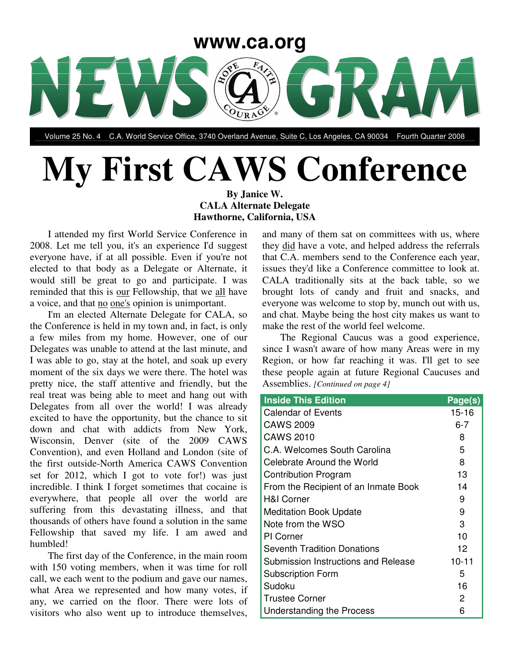

Volume 25 No. 4 C.A. World Service Office, 3740 Overland Avenue, Suite C, Los Angeles, CA 90034 Fourth Quarter 2008

# **My First CAWS Conference**

**By Janice W. CALA Alternate Delegate Hawthorne, California, USA**

I attended my first World Service Conference in 2008. Let me tell you, it's an experience I'd suggest everyone have, if at all possible. Even if you're not elected to that body as a Delegate or Alternate, it would still be great to go and participate. I was reminded that this is our Fellowship, that we all have a voice, and that no one's opinion is unimportant.

I'm an elected Alternate Delegate for CALA, so the Conference is held in my town and, in fact, is only a few miles from my home. However, one of our Delegates was unable to attend at the last minute, and I was able to go, stay at the hotel, and soak up every moment of the six days we were there. The hotel was pretty nice, the staff attentive and friendly, but the real treat was being able to meet and hang out with Delegates from all over the world! I was already excited to have the opportunity, but the chance to sit down and chat with addicts from New York, Wisconsin, Denver (site of the 2009 CAWS Convention), and even Holland and London (site of the first outside-North America CAWS Convention set for 2012, which I got to vote for!) was just incredible. I think I forget sometimes that cocaine is everywhere, that people all over the world are suffering from this devastating illness, and that thousands of others have found a solution in the same Fellowship that saved my life. I am awed and humbled!

The first day of the Conference, in the main room with 150 voting members, when it was time for roll call, we each went to the podium and gave our names, what Area we represented and how many votes, if any, we carried on the floor. There were lots of visitors who also went up to introduce themselves, and many of them sat on committees with us, where they did have a vote, and helped address the referrals that C.A. members send to the Conference each year, issues they'd like a Conference committee to look at. CALA traditionally sits at the back table, so we brought lots of candy and fruit and snacks, and everyone was welcome to stop by, munch out with us, and chat. Maybe being the host city makes us want to make the rest of the world feel welcome.

The Regional Caucus was a good experience, since I wasn't aware of how many Areas were in my Region, or how far reaching it was. I'll get to see these people again at future Regional Caucuses and Assemblies. *[Continued on page 4]*

| <b>Inside This Edition</b>           | Page(s)   |
|--------------------------------------|-----------|
| <b>Calendar of Events</b>            | $15 - 16$ |
| CAWS 2009                            | $6 - 7$   |
| CAWS 2010                            | 8         |
| C.A. Welcomes South Carolina         | 5         |
| Celebrate Around the World           | 8         |
| <b>Contribution Program</b>          | 13        |
| From the Recipient of an Inmate Book | 14        |
| <b>H&amp;I Corner</b>                | 9         |
| <b>Meditation Book Update</b>        | 9         |
| Note from the WSO                    | 3         |
| <b>PI</b> Corner                     | 10        |
| <b>Seventh Tradition Donations</b>   | 12        |
| Submission Instructions and Release  | $10 - 11$ |
| <b>Subscription Form</b>             | 5         |
| Sudoku                               | 16        |
| <b>Trustee Corner</b>                | 2         |
| Understanding the Process            | 6         |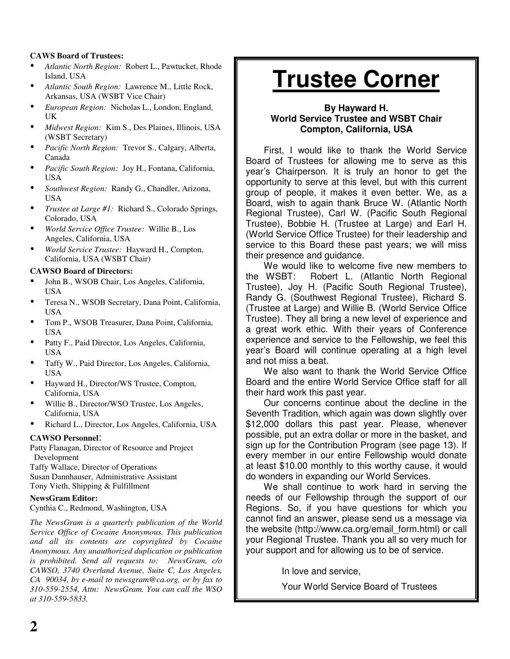#### **CAWS Board of Trustees:**

- *Atlantic North Region:* Robert L., Pawtucket, Rhode Island, USA
- *Atlantic South Region:* Lawrence M., Little Rock, Arkansas, USA (WSBT Vice Chair)
- *European Region:* Nicholas L., London, England, UK
- *Midwest Region:* Kim S., Des Plaines, Illinois, USA (WSBT Secretary)
- *Pacific North Region:* Trevor S., Calgary, Alberta, Canada
- *Pacific South Region:* Joy H., Fontana, California, USA
- *Southwest Region:* Randy G., Chandler, Arizona, USA
- *Trustee at Large #1:* Richard S., Colorado Springs, Colorado, USA
- *World Service Office Trustee:* Willie B., Los Angeles, California, USA
- *World Service Trustee:* Hayward H., Compton, California, USA (WSBT Chair)

#### **CAWSO Board of Directors:**

- John B., WSOB Chair, Los Angeles, California, USA
- Teresa N., WSOB Secretary, Dana Point, California, USA
- Tom P., WSOB Treasurer, Dana Point, California, USA
- Patty F., Paid Director, Los Angeles, California, USA
- Taffy W., Paid Director, Los Angeles, California, USA
- Hayward H., Director/WS Trustee, Compton, California, USA
- Willie B., Director/WSO Trustee, Los Angeles, California, USA
- Richard L., Director, Los Angeles, California, USA

#### **CAWSO Personnel**:

Patty Flanagan, Director of Resource and Project Development

Taffy Wallace, Director of Operations Susan Dannhauser, Administrative Assistant Tony Vieth, Shipping & Fulfillment

#### **NewsGram Editor:**

Cynthia C., Redmond, Washington, USA

*The NewsGram is a quarterly publication of the World Service Office of Cocaine Anonymous. This publication and all its contents are copyrighted by Cocaine Anonymous. Any unauthorized duplication or publication is prohibited. Send all requests to: NewsGram, c/o CAWSO, 3740 Overland Avenue, Suite C, Los Angeles, CA 90034, by e-mail to newsgram@ca.org, or by fax to 310-559-2554, Attn: NewsGram. You can call the WSO at 310-559-5833.*

# **Trustee Corner**

#### **By Hayward H. World Service Trustee and WSBT Chair Compton, California, USA**

First, I would like to thank the World Service Board of Trustees for allowing me to serve as this year's Chairperson. It is truly an honor to get the opportunity to serve at this level, but with this current group of people, it makes it even better. We, as a Board, wish to again thank Bruce W. (Atlantic North Regional Trustee), Carl W. (Pacific South Regional Trustee), Bobbie H. (Trustee at Large) and Earl H. (World Service Office Trustee) for their leadership and service to this Board these past years; we will miss their presence and guidance.

We would like to welcome five new members to the WSBT: Robert L. (Atlantic North Regional Trustee), Joy H. (Pacific South Regional Trustee), Randy G. (Southwest Regional Trustee), Richard S. (Trustee at Large) and Willie B. (World Service Office Trustee). They all bring a new level of experience and a great work ethic. With their years of Conference experience and service to the Fellowship, we feel this year's Board will continue operating at a high level and not miss a beat.

We also want to thank the World Service Office Board and the entire World Service Office staff for all their hard work this past year.

Our concerns continue about the decline in the Seventh Tradition, which again was down slightly over \$12,000 dollars this past year. Please, whenever possible, put an extra dollar or more in the basket, and sign up for the Contribution Program (see page 13). If every member in our entire Fellowship would donate at least \$10.00 monthly to this worthy cause, it would do wonders in expanding our World Services.

We shall continue to work hard in serving the needs of our Fellowship through the support of our Regions. So, if you have questions for which you cannot find an answer, please send us a message via the website (http://www.ca.org/email\_form.html) or call your Regional Trustee. Thank you all so very much for your support and for allowing us to be of service.

In love and service,

Your World Service Board of Trustees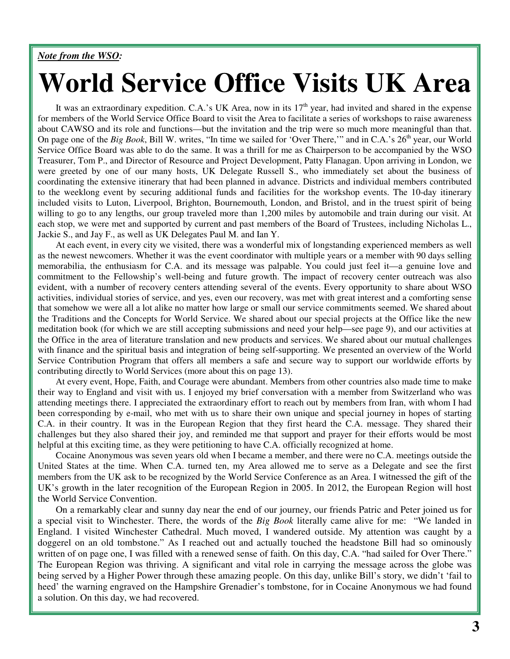#### *Note from the WSO:*

# **World Service Office Visits UK Area**

It was an extraordinary expedition. C.A.'s UK Area, now in its  $17<sup>th</sup>$  year, had invited and shared in the expense for members of the World Service Office Board to visit the Area to facilitate a series of workshops to raise awareness about CAWSO and its role and functions—but the invitation and the trip were so much more meaningful than that. On page one of the *Big Book*, Bill W. writes, "In time we sailed for 'Over There," and in C.A.'s 26<sup>th</sup> year, our World Service Office Board was able to do the same. It was a thrill for me as Chairperson to be accompanied by the WSO Treasurer, Tom P., and Director of Resource and Project Development, Patty Flanagan. Upon arriving in London, we were greeted by one of our many hosts, UK Delegate Russell S., who immediately set about the business of coordinating the extensive itinerary that had been planned in advance. Districts and individual members contributed to the weeklong event by securing additional funds and facilities for the workshop events. The 10-day itinerary included visits to Luton, Liverpool, Brighton, Bournemouth, London, and Bristol, and in the truest spirit of being willing to go to any lengths, our group traveled more than 1,200 miles by automobile and train during our visit. At each stop, we were met and supported by current and past members of the Board of Trustees, including Nicholas L., Jackie S., and Jay F., as well as UK Delegates Paul M. and Ian Y.

At each event, in every city we visited, there was a wonderful mix of longstanding experienced members as well as the newest newcomers. Whether it was the event coordinator with multiple years or a member with 90 days selling memorabilia, the enthusiasm for C.A. and its message was palpable. You could just feel it—a genuine love and commitment to the Fellowship's well-being and future growth. The impact of recovery center outreach was also evident, with a number of recovery centers attending several of the events. Every opportunity to share about WSO activities, individual stories of service, and yes, even our recovery, was met with great interest and a comforting sense that somehow we were all a lot alike no matter how large or small our service commitments seemed. We shared about the Traditions and the Concepts for World Service. We shared about our special projects at the Office like the new meditation book (for which we are still accepting submissions and need your help—see page 9), and our activities at the Office in the area of literature translation and new products and services. We shared about our mutual challenges with finance and the spiritual basis and integration of being self-supporting. We presented an overview of the World Service Contribution Program that offers all members a safe and secure way to support our worldwide efforts by contributing directly to World Services (more about this on page 13).

At every event, Hope, Faith, and Courage were abundant. Members from other countries also made time to make their way to England and visit with us. I enjoyed my brief conversation with a member from Switzerland who was attending meetings there. I appreciated the extraordinary effort to reach out by members from Iran, with whom I had been corresponding by e-mail, who met with us to share their own unique and special journey in hopes of starting C.A. in their country. It was in the European Region that they first heard the C.A. message. They shared their challenges but they also shared their joy, and reminded me that support and prayer for their efforts would be most helpful at this exciting time, as they were petitioning to have C.A. officially recognized at home.

Cocaine Anonymous was seven years old when I became a member, and there were no C.A. meetings outside the United States at the time. When C.A. turned ten, my Area allowed me to serve as a Delegate and see the first members from the UK ask to be recognized by the World Service Conference as an Area. I witnessed the gift of the UK's growth in the later recognition of the European Region in 2005. In 2012, the European Region will host the World Service Convention.

On a remarkably clear and sunny day near the end of our journey, our friends Patric and Peter joined us for a special visit to Winchester. There, the words of the *Big Book* literally came alive for me: "We landed in England. I visited Winchester Cathedral. Much moved, I wandered outside. My attention was caught by a doggerel on an old tombstone." As I reached out and actually touched the headstone Bill had so ominously written of on page one, I was filled with a renewed sense of faith. On this day, C.A. "had sailed for Over There." The European Region was thriving. A significant and vital role in carrying the message across the globe was being served by a Higher Power through these amazing people. On this day, unlike Bill's story, we didn't 'fail to heed' the warning engraved on the Hampshire Grenadier's tombstone, for in Cocaine Anonymous we had found a solution. On this day, we had recovered.

On a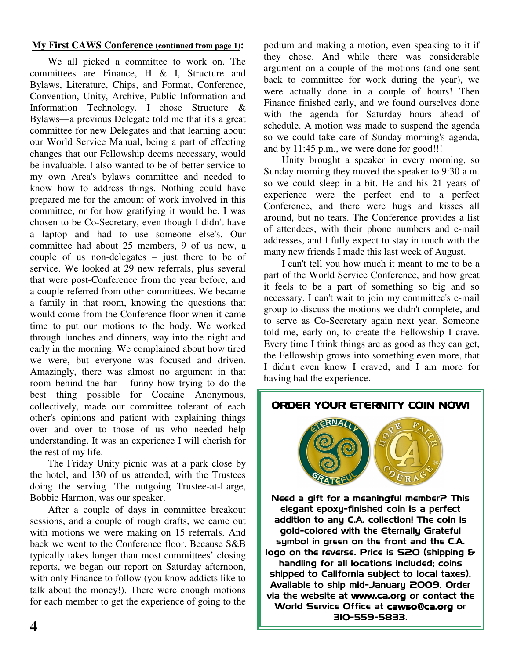#### **My First CAWS Conference (continued from page 1):**

We all picked a committee to work on. The committees are Finance, H & I, Structure and Bylaws, Literature, Chips, and Format, Conference, Convention, Unity, Archive, Public Information and Information Technology. I chose Structure & Bylaws—a previous Delegate told me that it's a great committee for new Delegates and that learning about our World Service Manual, being a part of effecting changes that our Fellowship deems necessary, would be invaluable. I also wanted to be of better service to my own Area's bylaws committee and needed to know how to address things. Nothing could have prepared me for the amount of work involved in this committee, or for how gratifying it would be. I was chosen to be Co-Secretary, even though I didn't have a laptop and had to use someone else's. Our committee had about 25 members, 9 of us new, a couple of us non-delegates – just there to be of service. We looked at 29 new referrals, plus several that were post-Conference from the year before, and a couple referred from other committees. We became a family in that room, knowing the questions that would come from the Conference floor when it came time to put our motions to the body. We worked through lunches and dinners, way into the night and early in the morning. We complained about how tired we were, but everyone was focused and driven. Amazingly, there was almost no argument in that room behind the bar – funny how trying to do the best thing possible for Cocaine Anonymous, collectively, made our committee tolerant of each other's opinions and patient with explaining things over and over to those of us who needed help understanding. It was an experience I will cherish for the rest of my life.

The Friday Unity picnic was at a park close by the hotel, and 130 of us attended, with the Trustees doing the serving. The outgoing Trustee-at-Large, Bobbie Harmon, was our speaker.

After a couple of days in committee breakout sessions, and a couple of rough drafts, we came out with motions we were making on 15 referrals. And back we went to the Conference floor. Because S&B typically takes longer than most committees' closing reports, we began our report on Saturday afternoon, with only Finance to follow (you know addicts like to talk about the money!). There were enough motions for each member to get the experience of going to the

podium and making a motion, even speaking to it if they chose. And while there was considerable argument on a couple of the motions (and one sent back to committee for work during the year), we were actually done in a couple of hours! Then Finance finished early, and we found ourselves done with the agenda for Saturday hours ahead of schedule. A motion was made to suspend the agenda so we could take care of Sunday morning's agenda, and by 11:45 p.m., we were done for good!!!

Unity brought a speaker in every morning, so Sunday morning they moved the speaker to 9:30 a.m. so we could sleep in a bit. He and his 21 years of experience were the perfect end to a perfect Conference, and there were hugs and kisses all around, but no tears. The Conference provides a list of attendees, with their phone numbers and e-mail addresses, and I fully expect to stay in touch with the many new friends I made this last week of August.

I can't tell you how much it meant to me to be a part of the World Service Conference, and how great it feels to be a part of something so big and so necessary. I can't wait to join my committee's e-mail group to discuss the motions we didn't complete, and to serve as Co-Secretary again next year. Someone told me, early on, to create the Fellowship I crave. Every time I think things are as good as they can get, the Fellowship grows into something even more, that I didn't even know I craved, and I am more for having had the experience.

#### ORDER YOUR ETERNITY COIN NOW!



Need a gift for a meaningful member? This elegant epoxu-finished coin is a perfect addition to any C.A. collection! The coin is gold-colored with the Eternally Grateful symbol in green on the front and the  $C.A$ . logo on the reverse. Price is \$20 (shipping & handling for all locations included; coins shipped to California subject to local taxes). Available to ship mid-January 2009. Order via the website at www.ca.org or contact the World Service Office at cawso@ca.org or SIO-559-5833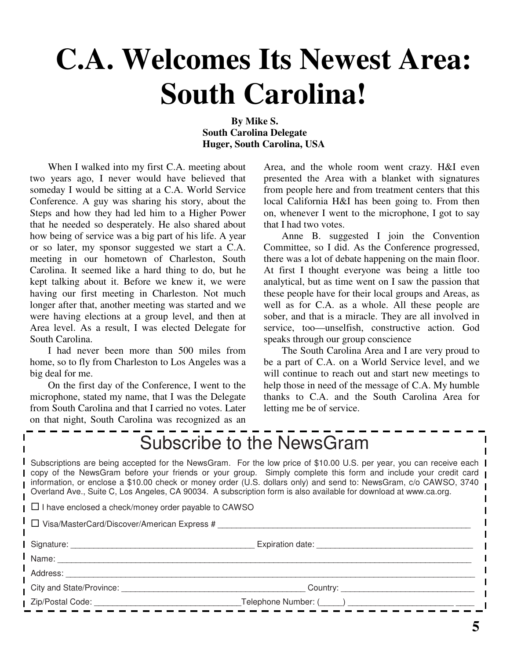# **C.A. Welcomes Its Newest Area: South Carolina!**

#### **By Mike S. South Carolina Delegate Huger, South Carolina, USA**

When I walked into my first C.A. meeting about two years ago, I never would have believed that someday I would be sitting at a C.A. World Service Conference. A guy was sharing his story, about the Steps and how they had led him to a Higher Power that he needed so desperately. He also shared about how being of service was a big part of his life. A year or so later, my sponsor suggested we start a C.A. meeting in our hometown of Charleston, South Carolina. It seemed like a hard thing to do, but he kept talking about it. Before we knew it, we were having our first meeting in Charleston. Not much longer after that, another meeting was started and we were having elections at a group level, and then at Area level. As a result, I was elected Delegate for South Carolina.

I had never been more than 500 miles from home, so to fly from Charleston to Los Angeles was a big deal for me.

On the first day of the Conference, I went to the microphone, stated my name, that I was the Delegate from South Carolina and that I carried no votes. Later on that night, South Carolina was recognized as an

Area, and the whole room went crazy. H&I even presented the Area with a blanket with signatures from people here and from treatment centers that this local California H&I has been going to. From then on, whenever I went to the microphone, I got to say that I had two votes.

Anne B. suggested I join the Convention Committee, so I did. As the Conference progressed, there was a lot of debate happening on the main floor. At first I thought everyone was being a little too analytical, but as time went on I saw the passion that these people have for their local groups and Areas, as well as for C.A. as a whole. All these people are sober, and that is a miracle. They are all involved in service, too—unselfish, constructive action. God speaks through our group conscience

The South Carolina Area and I are very proud to be a part of C.A. on a World Service level, and we will continue to reach out and start new meetings to help those in need of the message of C.A. My humble thanks to C.A. and the South Carolina Area for letting me be of service.

| Subscribe to the NewsGram                                                                                                                                                                                                                                                                                                                                                                                                                                                      |  |  |  |  |  |
|--------------------------------------------------------------------------------------------------------------------------------------------------------------------------------------------------------------------------------------------------------------------------------------------------------------------------------------------------------------------------------------------------------------------------------------------------------------------------------|--|--|--|--|--|
| Subscriptions are being accepted for the NewsGram. For the low price of \$10.00 U.S. per year, you can receive each<br>copy of the NewsGram before your friends or your group. Simply complete this form and include your credit card<br>information, or enclose a \$10.00 check or money order (U.S. dollars only) and send to: NewsGram, c/o CAWSO, 3740<br>Overland Ave., Suite C, Los Angeles, CA 90034. A subscription form is also available for download at www.ca.org. |  |  |  |  |  |
| $\Box$ I have enclosed a check/money order payable to CAWSO                                                                                                                                                                                                                                                                                                                                                                                                                    |  |  |  |  |  |
| $\Box$ Visa/MasterCard/Discover/American Express #                                                                                                                                                                                                                                                                                                                                                                                                                             |  |  |  |  |  |
|                                                                                                                                                                                                                                                                                                                                                                                                                                                                                |  |  |  |  |  |
|                                                                                                                                                                                                                                                                                                                                                                                                                                                                                |  |  |  |  |  |
|                                                                                                                                                                                                                                                                                                                                                                                                                                                                                |  |  |  |  |  |
|                                                                                                                                                                                                                                                                                                                                                                                                                                                                                |  |  |  |  |  |
|                                                                                                                                                                                                                                                                                                                                                                                                                                                                                |  |  |  |  |  |
|                                                                                                                                                                                                                                                                                                                                                                                                                                                                                |  |  |  |  |  |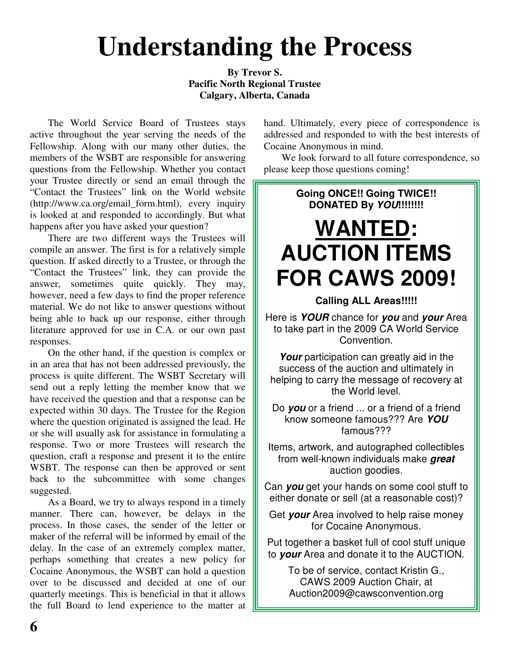# **Understanding the Process**

**By Trevor S. Pacific North Regional Trustee Calgary, Alberta, Canada**

The World Service Board of Trustees stays active throughout the year serving the needs of the Fellowship. Along with our many other duties, the members of the WSBT are responsible for answering questions from the Fellowship. Whether you contact your Trustee directly or send an email through the "Contact the Trustees" link on the World website (http://www.ca.org/email\_form.html), every inquiry is looked at and responded to accordingly. But what happens after you have asked your question?

There are two different ways the Trustees will compile an answer. The first is for a relatively simple question. If asked directly to a Trustee, or through the "Contact the Trustees" link, they can provide the answer, sometimes quite quickly. They may, however, need a few days to find the proper reference material. We do not like to answer questions without being able to back up our response, either through literature approved for use in C.A. or our own past responses.

On the other hand, if the question is complex or in an area that has not been addressed previously, the process is quite different. The WSBT Secretary will send out a reply letting the member know that we have received the question and that a response can be expected within 30 days. The Trustee for the Region where the question originated is assigned the lead. He or she will usually ask for assistance in formulating a response. Two or more Trustees will research the question, craft a response and present it to the entire WSBT. The response can then be approved or sent back to the subcommittee with some changes suggested.

As a Board, we try to always respond in a timely manner. There can, however, be delays in the process. In those cases, the sender of the letter or maker of the referral will be informed by email of the delay. In the case of an extremely complex matter, perhaps something that creates a new policy for Cocaine Anonymous, the WSBT can hold a question over to be discussed and decided at one of our quarterly meetings. This is beneficial in that it allows the full Board to lend experience to the matter at hand. Ultimately, every piece of correspondence is addressed and responded to with the best interests of Cocaine Anonymous in mind.

We look forward to all future correspondence, so please keep those questions coming!

### **Going ONCE!! Going TWICE!! DONATED By** *YOU***!!!!!!!! WANTED: AUCTION ITEMS FOR CAWS 2009!**

**Calling ALL Areas!!!!!**

Here is *YOUR* chance for *you* and *your* Area to take part in the 2009 CA World Service Convention.

Your participation can greatly aid in the success of the auction and ultimately in helping to carry the message of recovery at the World level.

Do *you* or a friend ... or a friend of a friend know someone famous??? Are *YOU* famous???

Items, artwork, and autographed collectibles from well-known individuals make *great* auction goodies.

Can *you* get your hands on some cool stuff to either donate or sell (at a reasonable cost)?

Get *your* Area involved to help raise money for Cocaine Anonymous.

Put together a basket full of cool stuff unique to *your* Area and donate it to the AUCTION.

To be of service, contact Kristin G., CAWS 2009 Auction Chair, at Auction2009@cawsconvention.org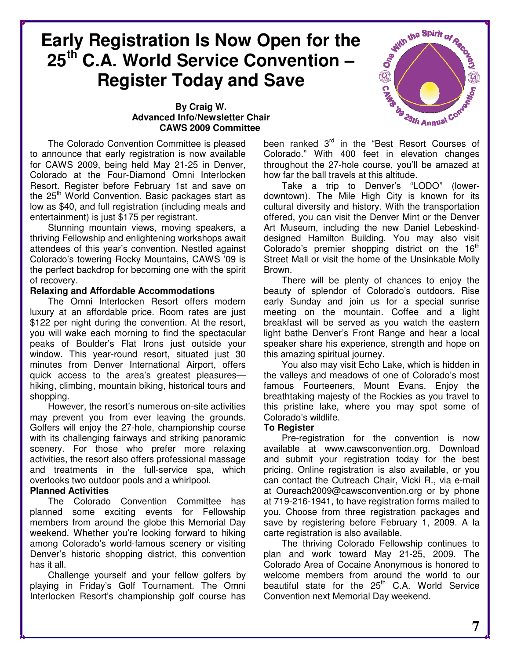### **Early Registration Is Now Open for the 25 th C.A. World Service Convention – Register Today and Save**

#### **By Craig W. Advanced Info/Newsletter Chair CAWS 2009 Committee**

The Colorado Convention Committee is pleased to announce that early registration is now available for CAWS 2009, being held May 21-25 in Denver, Colorado at the Four-Diamond Omni Interlocken Resort. Register before February 1st and save on the 25<sup>th</sup> World Convention. Basic packages start as low as \$40, and full registration (including meals and entertainment) is just \$175 per registrant.

Stunning mountain views, moving speakers, a thriving Fellowship and enlightening workshops await attendees of this year's convention. Nestled against Colorado's towering Rocky Mountains, CAWS '09 is the perfect backdrop for becoming one with the spirit of recovery.

#### **Relaxing and Affordable Accommodations**

The Omni Interlocken Resort offers modern luxury at an affordable price. Room rates are just \$122 per night during the convention. At the resort, you will wake each morning to find the spectacular peaks of Boulder's Flat Irons just outside your window. This year-round resort, situated just 30 minutes from Denver International Airport, offers quick access to the area's greatest pleasures hiking, climbing, mountain biking, historical tours and shopping.

However, the resort's numerous on-site activities may prevent you from ever leaving the grounds. Golfers will enjoy the 27-hole, championship course with its challenging fairways and striking panoramic scenery. For those who prefer more relaxing activities, the resort also offers professional massage and treatments in the full-service spa, which overlooks two outdoor pools and a whirlpool.

#### **Planned Activities**

The Colorado Convention Committee has planned some exciting events for Fellowship members from around the globe this Memorial Day weekend. Whether you're looking forward to hiking among Colorado's world-famous scenery or visiting Denver's historic shopping district, this convention has it all.

Challenge yourself and your fellow golfers by playing in Friday's Golf Tournament. The Omni Interlocken Resort's championship golf course has



been ranked 3<sup>rd</sup> in the "Best Resort Courses of Colorado." With 400 feet in elevation changes throughout the 27-hole course, you'll be amazed at how far the ball travels at this altitude.

Take a trip to Denver's "LODO" (lowerdowntown). The Mile High City is known for its cultural diversity and history. With the transportation offered, you can visit the Denver Mint or the Denver Art Museum, including the new Daniel Lebeskinddesigned Hamilton Building. You may also visit Colorado's premier shopping district on the  $16<sup>th</sup>$ Street Mall or visit the home of the Unsinkable Molly Brown.

There will be plenty of chances to enjoy the beauty of splendor of Colorado's outdoors. Rise early Sunday and join us for a special sunrise meeting on the mountain. Coffee and a light breakfast will be served as you watch the eastern light bathe Denver's Front Range and hear a local speaker share his experience, strength and hope on this amazing spiritual journey.

You also may visit Echo Lake, which is hidden in the valleys and meadows of one of Colorado's most famous Fourteeners, Mount Evans. Enjoy the breathtaking majesty of the Rockies as you travel to this pristine lake, where you may spot some of Colorado's wildlife.

#### **To Register**

Pre-registration for the convention is now available at www.cawsconvention.org. Download and submit your registration today for the best pricing. Online registration is also available, or you can contact the Outreach Chair, Vicki R., via e-mail at Oureach2009@cawsconvention.org or by phone at 719-216-1941, to have registration forms mailed to you. Choose from three registration packages and save by registering before February 1, 2009. A la carte registration is also available.

The thriving Colorado Fellowship continues to plan and work toward May 21-25, 2009. The Colorado Area of Cocaine Anonymous is honored to welcome members from around the world to our beautiful state for the 25<sup>th</sup> C.A. World Service Convention next Memorial Day weekend.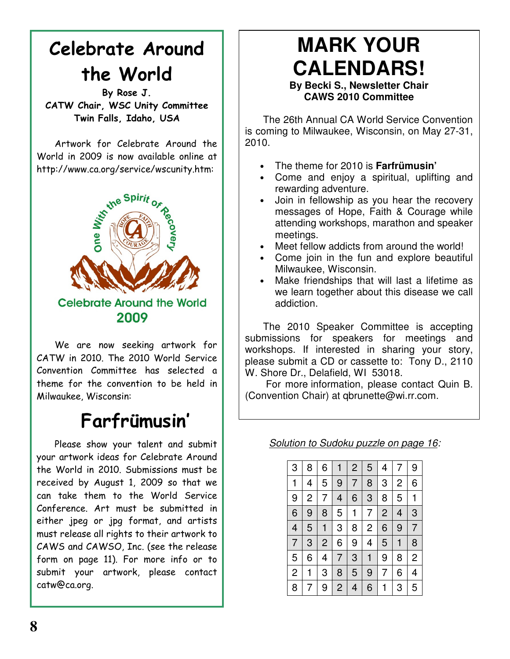# Celebrate Around the World

By Rose J. CATW Chair, WSC Unity Committee Twin Falls, Idaho, USA

Artwork for Celebrate Around the World in 2009 is now available online at http://www.ca.org/service/wscunity.htm:



We are now seeking artwork for CATW in 2010. The 2010 World Service Convention Committee has selected a theme for the convention to be held in Milwaukee, Wisconsin:

## Farfrümusin'

Please show your talent and submit your artwork ideas for Celebrate Around the World in 2010. Submissions must be received by August 1, 2009 so that we can take them to the World Service Conference. Art must be submitted in either jpeg or jpg format, and artists must release all rights to their artwork to CAWS and CAWSO, Inc. (see the release form on page 11). For more info or to submit your artwork, please contact catw@ca.org.

# **MARK YOUR CALENDARS!**

#### **By Becki S., Newsletter Chair CAWS 2010 Committee**

The 26th Annual CA World Service Convention is coming to Milwaukee, Wisconsin, on May 27-31, 2010.

- The theme for 2010 is **Farfrümusin'**
- Come and enjoy a spiritual, uplifting and rewarding adventure.
- Join in fellowship as you hear the recovery messages of Hope, Faith & Courage while attending workshops, marathon and speaker meetings.
- Meet fellow addicts from around the world!
- Come join in the fun and explore beautiful Milwaukee, Wisconsin.
- Make friendships that will last a lifetime as we learn together about this disease we call addiction.

The 2010 Speaker Committee is accepting submissions for speakers for meetings and workshops. If interested in sharing your story, please submit a CD or cassette to: Tony D., 2110 W. Shore Dr., Delafield, WI 53018.

For more information, please contact Quin B. (Convention Chair) at qbrunette@wi.rr.com.

*Solution to Sudoku puzzle on page 16:*

| 3                        | 8              | 6              |                | 2 | 5              | 4              | 7              | 9 |
|--------------------------|----------------|----------------|----------------|---|----------------|----------------|----------------|---|
| $\mathbf{1}$             | 4              | 5              | 9              | 7 | 8              | 3              | $\overline{c}$ | 6 |
| 9                        | $\overline{c}$ | 7              | 4              | 6 | 3              | 8              | 5              | 1 |
| 6                        | 9              | 8              | 5              | 1 | 7              | $\overline{c}$ | 4              | 3 |
| $\overline{\mathcal{L}}$ | 5              |                | 3              | 8 | $\overline{c}$ | 6              | 9              | 7 |
| 7                        | 3              | $\overline{c}$ | 6              | 9 | 4              | 5              | 1              | 8 |
| 5                        | 6              | 4              | 7              | 3 | 1              | 9              | 8              | 2 |
| $\overline{2}$           | 1              | 3              | 8              | 5 | 9              | 7              | 6              | 4 |
| 8                        | 7              | 9              | $\overline{c}$ | 4 | 6              |                | 3              | 5 |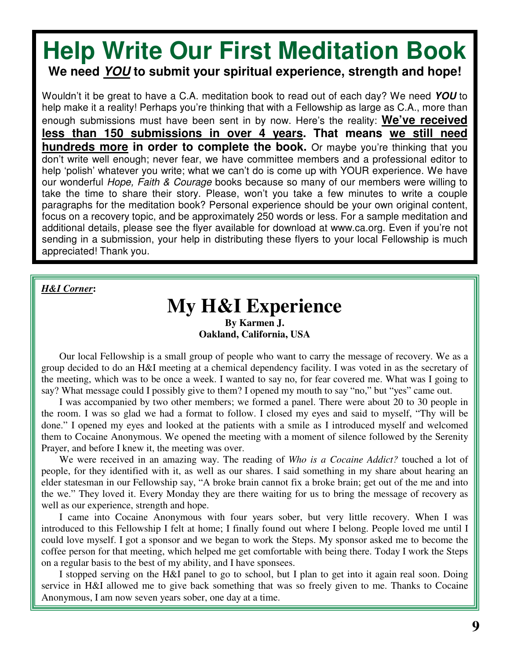### **Help Write Our First Meditation Book We need** *YOU* **to submit your spiritual experience, strength and hope!**

Wouldn't it be great to have a C.A. meditation book to read out of each day? We need *YOU* to help make it a reality! Perhaps you're thinking that with a Fellowship as large as C.A., more than enough submissions must have been sent in by now. Here's the reality: **We've received less than 150 submissions in over 4 years. That means we still need hundreds more in order to complete the book.** Or maybe you're thinking that you don't write well enough; never fear, we have committee members and a professional editor to help 'polish' whatever you write; what we can't do is come up with YOUR experience. We have our wonderful *Hope, Faith & Courage* books because so many of our members were willing to take the time to share their story. Please, won't you take a few minutes to write a couple paragraphs for the meditation book? Personal experience should be your own original content, focus on a recovery topic, and be approximately 250 words or less. For a sample meditation and additional details, please see the flyer available for download at www.ca.org. Even if you're not sending in a submission, your help in distributing these flyers to your local Fellowship is much appreciated! Thank you.

#### *H&I Corner***:**

#### **My H&I Experience By Karmen J. Oakland, California, USA**

Our local Fellowship is a small group of people who want to carry the message of recovery. We as a group decided to do an H&I meeting at a chemical dependency facility. I was voted in as the secretary of the meeting, which was to be once a week. I wanted to say no, for fear covered me. What was I going to say? What message could I possibly give to them? I opened my mouth to say "no," but "yes" came out.

I was accompanied by two other members; we formed a panel. There were about 20 to 30 people in the room. I was so glad we had a format to follow. I closed my eyes and said to myself, "Thy will be done." I opened my eyes and looked at the patients with a smile as I introduced myself and welcomed them to Cocaine Anonymous. We opened the meeting with a moment of silence followed by the Serenity Prayer, and before I knew it, the meeting was over.

We were received in an amazing way. The reading of *Who is a Cocaine Addict?* touched a lot of people, for they identified with it, as well as our shares. I said something in my share about hearing an elder statesman in our Fellowship say, "A broke brain cannot fix a broke brain; get out of the me and into the we." They loved it. Every Monday they are there waiting for us to bring the message of recovery as well as our experience, strength and hope.

I came into Cocaine Anonymous with four years sober, but very little recovery. When I was introduced to this Fellowship I felt at home; I finally found out where I belong. People loved me until I could love myself. I got a sponsor and we began to work the Steps. My sponsor asked me to become the coffee person for that meeting, which helped me get comfortable with being there. Today I work the Steps on a regular basis to the best of my ability, and I have sponsees.

I stopped serving on the H&I panel to go to school, but I plan to get into it again real soon. Doing service in H&I allowed me to give back something that was so freely given to me. Thanks to Cocaine Anonymous, I am now seven years sober, one day at a time.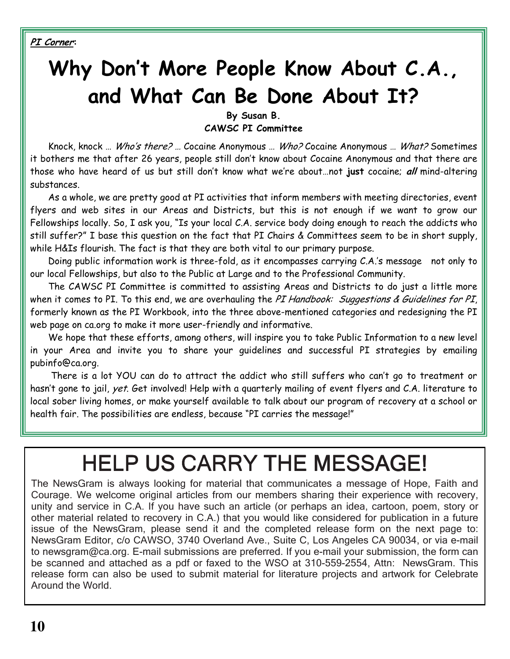PI Corner:

# Why Don't More People Know About C.A., and What Can Be Done About It?

By Susan B.

**CAWSC PI Committee** 

Knock, knock ... Who's there? ... Cocaine Anonymous ... Who? Cocaine Anonymous ... What? Sometimes it bothers me that after 26 years, people still don't know about Cocaine Anonymous and that there are those who have heard of us but still don't know what we're about...not just cocaine; all mind-altering substances.

As a whole, we are pretty good at PI activities that inform members with meeting directories, event flyers and web sites in our Areas and Districts, but this is not enough if we want to grow our Fellowships locally. So, I ask you, "Is your local C.A. service body doing enough to reach the addicts who still suffer?" I base this question on the fact that PI Chairs & Committees seem to be in short supply, while H&Is flourish. The fact is that they are both vital to our primary purpose.

Doing public information work is three-fold, as it encompasses carrying C.A.'s message not only to our local Fellowships, but also to the Public at Large and to the Professional Community.

The CAWSC PI Committee is committed to assisting Areas and Districts to do just a little more when it comes to PI. To this end, we are overhauling the PI Handbook: Suggestions & Guidelines for PI, formerly known as the PI Workbook, into the three above-mentioned categories and redesigning the PI web page on ca.org to make it more user-friendly and informative.

We hope that these efforts, among others, will inspire you to take Public Information to a new level in your Area and invite you to share your quidelines and successful PI strategies by emailing pubinfo@ca.org.

There is a lot YOU can do to attract the addict who still suffers who can't go to treatment or hasn't gone to jail, yet. Get involved! Help with a quarterly mailing of event flyers and C.A. literature to local sober living homes, or make yourself available to talk about our program of recovery at a school or health fair. The possibilities are endless, because "PI carries the message!"

# **HELP US CARRY THE MESSAGE!**

The NewsGram is always looking for material that communicates a message of Hope, Faith and Courage. We welcome original articles from our members sharing their experience with recovery, unity and service in C.A. If you have such an article (or perhaps an idea, cartoon, poem, story or other material related to recovery in C.A.) that you would like considered for publication in a future issue of the NewsGram, please send it and the completed release form on the next page to: NewsGram Editor, c/o CAWSO, 3740 Overland Ave., Suite C, Los Angeles CA 90034, or via e-mail to newsgram@ca.org. E-mail submissions are preferred. If you e-mail your submission, the form can be scanned and attached as a pdf or faxed to the WSO at 310-559-2554, Attn: NewsGram. This release form can also be used to submit material for literature projects and artwork for Celebrate Around the World.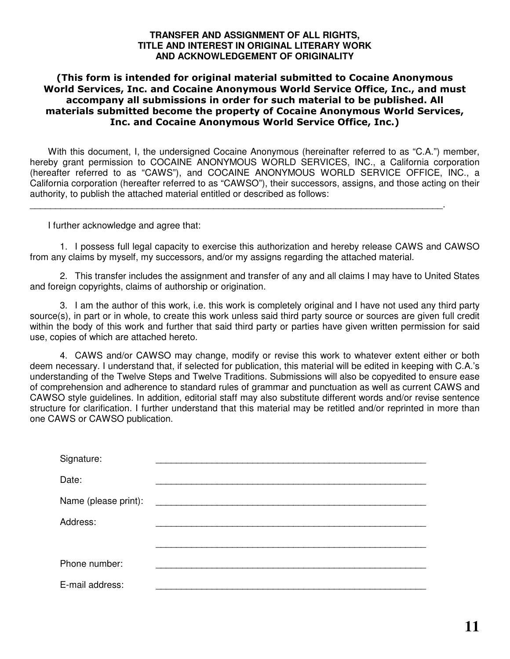#### **TRANSFER AND ASSIGNMENT OF ALL RIGHTS, TITLE AND INTEREST IN ORIGINAL LITERARY WORK AND ACKNOWLEDGEMENT OF ORIGINALITY**

#### (This form is intended for original material submitted to Cocaine Anonymous World Services, Inc. and Cocaine Anonymous World Service Office, Inc., and must accompany all submissions in order for such material to be published. All materials submitted become the property of Cocaine Anonymous World Services, Inc. and Cocaine Anonymous World Service Office, Inc.)

With this document, I, the undersigned Cocaine Anonymous (hereinafter referred to as "C.A.") member, hereby grant permission to COCAINE ANONYMOUS WORLD SERVICES, INC., a California corporation (hereafter referred to as "CAWS"), and COCAINE ANONYMOUS WORLD SERVICE OFFICE, INC., a California corporation (hereafter referred to as "CAWSO"), their successors, assigns, and those acting on their authority, to publish the attached material entitled or described as follows:

\_\_\_\_\_\_\_\_\_\_\_\_\_\_\_\_\_\_\_\_\_\_\_\_\_\_\_\_\_\_\_\_\_\_\_\_\_\_\_\_\_\_\_\_\_\_\_\_\_\_\_\_\_\_\_\_\_\_\_\_\_\_\_\_\_\_\_\_\_\_\_\_\_\_\_\_\_\_\_\_\_.

I further acknowledge and agree that:

1. I possess full legal capacity to exercise this authorization and hereby release CAWS and CAWSO from any claims by myself, my successors, and/or my assigns regarding the attached material.

2. This transfer includes the assignment and transfer of any and all claims I may have to United States and foreign copyrights, claims of authorship or origination.

3. I am the author of this work, i.e. this work is completely original and I have not used any third party source(s), in part or in whole, to create this work unless said third party source or sources are given full credit within the body of this work and further that said third party or parties have given written permission for said use, copies of which are attached hereto.

4. CAWS and/or CAWSO may change, modify or revise this work to whatever extent either or both deem necessary. I understand that, if selected for publication, this material will be edited in keeping with C.A.'s understanding of the Twelve Steps and Twelve Traditions. Submissions will also be copyedited to ensure ease of comprehension and adherence to standard rules of grammar and punctuation as well as current CAWS and CAWSO style guidelines. In addition, editorial staff may also substitute different words and/or revise sentence structure for clarification. I further understand that this material may be retitled and/or reprinted in more than one CAWS or CAWSO publication.

| Signature:           |  |
|----------------------|--|
| Date:                |  |
| Name (please print): |  |
| Address:             |  |
|                      |  |
| Phone number:        |  |
| E-mail address:      |  |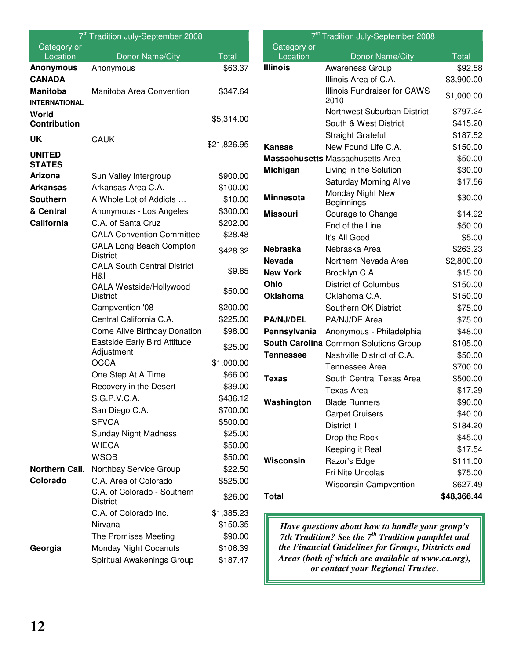|                                | 7 <sup>th</sup> Tradition July-September 2008     |                     |
|--------------------------------|---------------------------------------------------|---------------------|
| Category or<br>Location        | Donor Name/City                                   | <b>Total</b>        |
| <b>Anonymous</b>               | Anonymous                                         | \$63.37             |
| <b>CANADA</b>                  |                                                   |                     |
| <b>Manitoba</b>                | Manitoba Area Convention                          | \$347.64            |
| <b>INTERNATIONAL</b>           |                                                   |                     |
| World                          |                                                   | \$5,314.00          |
| <b>Contribution</b>            |                                                   |                     |
| <b>UK</b>                      | <b>CAUK</b>                                       | \$21,826.95         |
| <b>UNITED</b><br><b>STATES</b> |                                                   |                     |
| Arizona                        | Sun Valley Intergroup                             | \$900.00            |
| <b>Arkansas</b>                | Arkansas Area C.A.                                | \$100.00            |
| <b>Southern</b>                | A Whole Lot of Addicts                            | \$10.00             |
| & Central                      | Anonymous - Los Angeles                           | \$300.00            |
| California                     | C.A. of Santa Cruz                                | \$202.00            |
|                                | <b>CALA Convention Committee</b>                  | \$28.48             |
|                                | <b>CALA Long Beach Compton</b><br><b>District</b> | \$428.32            |
|                                | <b>CALA South Central District</b><br>H&I         | \$9.85              |
|                                | CALA Westside/Hollywood<br><b>District</b>        | \$50.00             |
|                                | Campvention '08                                   | \$200.00            |
|                                | Central California C.A.                           | \$225.00            |
|                                | Come Alive Birthday Donation                      | \$98.00             |
|                                | Eastside Early Bird Attitude<br>Adjustment        | \$25.00             |
|                                | <b>OCCA</b>                                       | \$1,000.00          |
|                                | One Step At A Time                                | \$66.00             |
|                                | Recovery in the Desert                            | \$39.00             |
|                                | S.G.P.V.C.A.                                      | \$436.12            |
|                                | San Diego C.A.                                    | \$700.00            |
|                                | <b>SFVCA</b>                                      | \$500.00<br>\$25.00 |
|                                | <b>Sunday Night Madness</b><br><b>WIECA</b>       | \$50.00             |
|                                | <b>WSOB</b>                                       | \$50.00             |
| Northern Cali.                 | Northbay Service Group                            | \$22.50             |
| Colorado                       | C.A. Area of Colorado                             | \$525.00            |
|                                | C.A. of Colorado - Southern<br><b>District</b>    | \$26.00             |
|                                | C.A. of Colorado Inc.                             | \$1,385.23          |
|                                | Nirvana                                           | \$150.35            |
|                                | The Promises Meeting                              | \$90.00             |
| Georgia                        | <b>Monday Night Cocanuts</b>                      | \$106.39            |
|                                | Spiritual Awakenings Group                        | \$187.47            |

| 7 <sup>th</sup> Tradition July-September 2008 |                                             |              |  |  |  |
|-----------------------------------------------|---------------------------------------------|--------------|--|--|--|
| Category or                                   |                                             |              |  |  |  |
| Location                                      | Donor Name/City                             | <b>Total</b> |  |  |  |
| <b>Illinois</b>                               | <b>Awareness Group</b>                      | \$92.58      |  |  |  |
|                                               | Illinois Area of C.A.                       | \$3,900.00   |  |  |  |
|                                               | <b>Illinois Fundraiser for CAWS</b><br>2010 | \$1,000.00   |  |  |  |
|                                               | Northwest Suburban District                 | \$797.24     |  |  |  |
|                                               | South & West District                       | \$415.20     |  |  |  |
|                                               | <b>Straight Grateful</b>                    | \$187.52     |  |  |  |
| <b>Kansas</b>                                 | New Found Life C.A.                         | \$150.00     |  |  |  |
|                                               | <b>Massachusetts Massachusetts Area</b>     | \$50.00      |  |  |  |
| Michigan                                      | Living in the Solution                      | \$30.00      |  |  |  |
|                                               | <b>Saturday Morning Alive</b>               | \$17.56      |  |  |  |
| <b>Minnesota</b>                              | Monday Night New<br>Beginnings              | \$30.00      |  |  |  |
| <b>Missouri</b>                               | Courage to Change                           | \$14.92      |  |  |  |
|                                               | End of the Line                             | \$50.00      |  |  |  |
|                                               | It's All Good                               | \$5.00       |  |  |  |
| <b>Nebraska</b>                               | Nebraska Area                               | \$263.23     |  |  |  |
| <b>Nevada</b>                                 | Northern Nevada Area                        | \$2,800.00   |  |  |  |
| <b>New York</b>                               | Brooklyn C.A.                               | \$15.00      |  |  |  |
| Ohio                                          | <b>District of Columbus</b>                 | \$150.00     |  |  |  |
| <b>Oklahoma</b>                               | Oklahoma C.A.                               | \$150.00     |  |  |  |
|                                               | Southern OK District                        | \$75.00      |  |  |  |
| <b>PA/NJ/DEL</b>                              | PA/NJ/DE Area                               | \$75.00      |  |  |  |
| Pennsylvania                                  | Anonymous - Philadelphia                    | \$48.00      |  |  |  |
|                                               | South Carolina Common Solutions Group       | \$105.00     |  |  |  |
| <b>Tennessee</b>                              | Nashville District of C.A.                  | \$50.00      |  |  |  |
|                                               | Tennessee Area                              | \$700.00     |  |  |  |
| <b>Texas</b>                                  | South Central Texas Area                    | \$500.00     |  |  |  |
|                                               | Texas Area                                  | \$17.29      |  |  |  |
| Washington                                    | Blade Runners                               | \$90.00      |  |  |  |
|                                               | <b>Carpet Cruisers</b>                      | \$40.00      |  |  |  |
|                                               | District 1                                  | \$184.20     |  |  |  |
|                                               | Drop the Rock                               | \$45.00      |  |  |  |
|                                               | Keeping it Real                             | \$17.54      |  |  |  |
| Wisconsin                                     | Razor's Edge                                | \$111.00     |  |  |  |
|                                               | Fri Nite Uncolas                            | \$75.00      |  |  |  |
|                                               | <b>Wisconsin Campvention</b>                | \$627.49     |  |  |  |
| <b>Total</b>                                  |                                             | \$48,366.44  |  |  |  |

*Have questions about how to handle your group's 7th Tradition? See the 7 th Tradition pamphlet and the Financial Guidelines for Groups, Districts and Areas (both of which are available at www.ca.org), or contact your Regional Trustee*.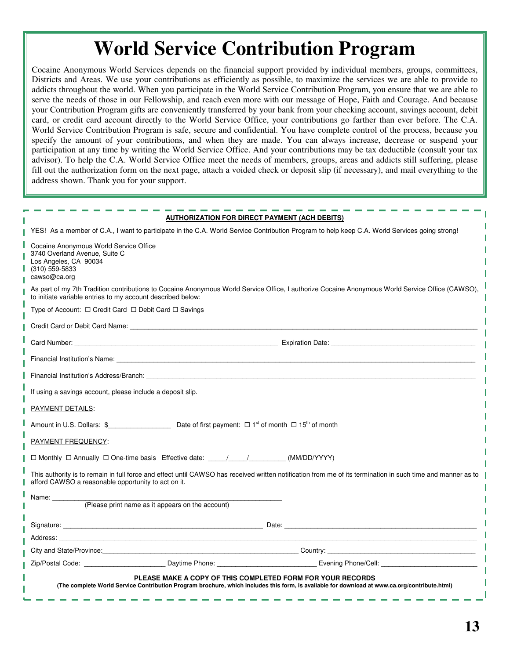## **World Service Contribution Program**

Cocaine Anonymous World Services depends on the financial support provided by individual members, groups, committees, Districts and Areas. We use your contributions as efficiently as possible, to maximize the services we are able to provide to addicts throughout the world. When you participate in the World Service Contribution Program, you ensure that we are able to serve the needs of those in our Fellowship, and reach even more with our message of Hope, Faith and Courage. And because your Contribution Program gifts are conveniently transferred by your bank from your checking account, savings account, debit card, or credit card account directly to the World Service Office, your contributions go farther than ever before. The C.A. World Service Contribution Program is safe, secure and confidential. You have complete control of the process, because you specify the amount of your contributions, and when they are made. You can always increase, decrease or suspend your participation at any time by writing the World Service Office. And your contributions may be tax deductible (consult your tax advisor). To help the C.A. World Service Office meet the needs of members, groups, areas and addicts still suffering, please fill out the authorization form on the next page, attach a voided check or deposit slip (if necessary), and mail everything to the address shown. Thank you for your support.

|                                                                                                                                      | <b>AUTHORIZATION FOR DIRECT PAYMENT (ACH DEBITS)</b> |                                                                                                                                                                                                                                |
|--------------------------------------------------------------------------------------------------------------------------------------|------------------------------------------------------|--------------------------------------------------------------------------------------------------------------------------------------------------------------------------------------------------------------------------------|
|                                                                                                                                      |                                                      | YES! As a member of C.A., I want to participate in the C.A. World Service Contribution Program to help keep C.A. World Services going strong!                                                                                  |
| Cocaine Anonymous World Service Office<br>3740 Overland Avenue, Suite C<br>Los Angeles, CA 90034<br>$(310)$ 559-5833<br>cawso@ca.org |                                                      |                                                                                                                                                                                                                                |
| to initiate variable entries to my account described below:                                                                          |                                                      | As part of my 7th Tradition contributions to Cocaine Anonymous World Service Office, I authorize Cocaine Anonymous World Service Office (CAWSO),                                                                               |
| Type of Account: $\Box$ Credit Card $\Box$ Debit Card $\Box$ Savings                                                                 |                                                      |                                                                                                                                                                                                                                |
|                                                                                                                                      |                                                      |                                                                                                                                                                                                                                |
|                                                                                                                                      |                                                      |                                                                                                                                                                                                                                |
|                                                                                                                                      |                                                      |                                                                                                                                                                                                                                |
|                                                                                                                                      |                                                      | Financial Institution's Address/Branch: The Contract of the Contract of the Contract of the Contract of the Contract of the Contract of the Contract of the Contract of the Contract of the Contract of the Contract of the Co |
| If using a savings account, please include a deposit slip.                                                                           |                                                      |                                                                                                                                                                                                                                |
| <b>PAYMENT DETAILS:</b>                                                                                                              |                                                      |                                                                                                                                                                                                                                |
| Amount in U.S. Dollars: $\$$ Dete of first payment: $\square$ 1 <sup>st</sup> of month $\square$ 15 <sup>th</sup> of month           |                                                      |                                                                                                                                                                                                                                |
| PAYMENT FREQUENCY:                                                                                                                   |                                                      |                                                                                                                                                                                                                                |
| $\Box$ Monthly $\Box$ Annually $\Box$ One-time basis Effective date: $\Box$ / / (MM/DD/YYYY)                                         |                                                      |                                                                                                                                                                                                                                |
| afford CAWSO a reasonable opportunity to act on it.                                                                                  |                                                      | This authority is to remain in full force and effect until CAWSO has received written notification from me of its termination in such time and manner as to                                                                    |
| Name: _________                                                                                                                      | (Please print name as it appears on the account)     |                                                                                                                                                                                                                                |
|                                                                                                                                      |                                                      |                                                                                                                                                                                                                                |
|                                                                                                                                      |                                                      |                                                                                                                                                                                                                                |
|                                                                                                                                      |                                                      |                                                                                                                                                                                                                                |
|                                                                                                                                      |                                                      |                                                                                                                                                                                                                                |
|                                                                                                                                      |                                                      | Zip/Postal Code: Communication Contract Contract Contract Contract Contract Contract Code: Contract Code: Contract Code Contract Contract Code: Contract Code: Code: Code: Code: Code: Code: Code: Code: Code: Code: Code: Cod |
|                                                                                                                                      |                                                      | PLEASE MAKE A COPY OF THIS COMPLETED FORM FOR YOUR RECORDS<br>(The complete World Service Contribution Program brochure, which includes this form, is available for download at www.ca.org/contribute.html)                    |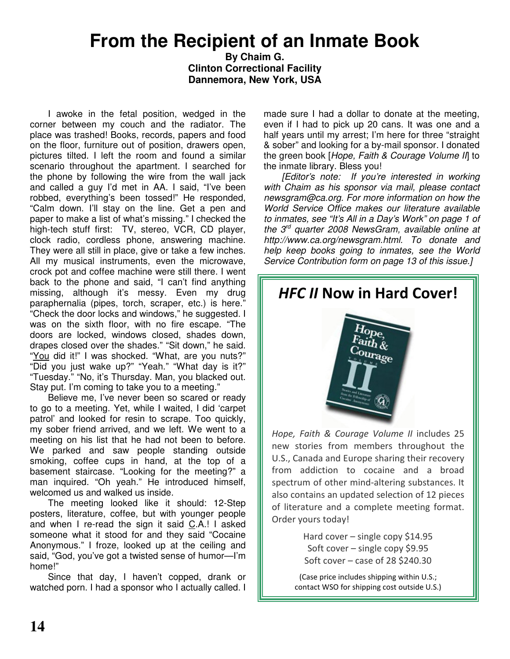### **From the Recipient of an Inmate Book**

**By Chaim G. Clinton Correctional Facility Dannemora, New York, USA**

I awoke in the fetal position, wedged in the corner between my couch and the radiator. The place was trashed! Books, records, papers and food on the floor, furniture out of position, drawers open, pictures tilted. I left the room and found a similar scenario throughout the apartment. I searched for the phone by following the wire from the wall jack and called a guy I'd met in AA. I said, "I've been robbed, everything's been tossed!" He responded, "Calm down. I'll stay on the line. Get a pen and paper to make a list of what's missing." I checked the high-tech stuff first: TV, stereo, VCR, CD player, clock radio, cordless phone, answering machine. They were all still in place, give or take a few inches. All my musical instruments, even the microwave, crock pot and coffee machine were still there. I went back to the phone and said, "I can't find anything missing, although it's messy. Even my drug paraphernalia (pipes, torch, scraper, etc.) is here." "Check the door locks and windows," he suggested. I was on the sixth floor, with no fire escape. "The doors are locked, windows closed, shades down, drapes closed over the shades." "Sit down," he said. "You did it!" I was shocked. "What, are you nuts?" "Did you just wake up?" "Yeah." "What day is it?" "Tuesday." "No, it's Thursday. Man, you blacked out. Stay put. I'm coming to take you to a meeting."

Believe me, I've never been so scared or ready to go to a meeting. Yet, while I waited, I did 'carpet patrol' and looked for resin to scrape. Too quickly, my sober friend arrived, and we left. We went to a meeting on his list that he had not been to before. We parked and saw people standing outside smoking, coffee cups in hand, at the top of a basement staircase. "Looking for the meeting?" a man inquired. "Oh yeah." He introduced himself, welcomed us and walked us inside.

The meeting looked like it should: 12-Step posters, literature, coffee, but with younger people and when I re-read the sign it said C.A.! I asked someone what it stood for and they said "Cocaine Anonymous." I froze, looked up at the ceiling and said, "God, you've got a twisted sense of humor—I'm home!"

Since that day, I haven't copped, drank or watched porn. I had a sponsor who I actually called. I made sure I had a dollar to donate at the meeting, even if I had to pick up 20 cans. It was one and a half years until my arrest; I'm here for three "straight & sober" and looking for a by-mail sponsor. I donated the green book [*Hope, Faith & Courage Volume II*] to the inmate library. Bless you!

*[Editor's note: If you're interested in working with Chaim as his sponsor via mail, please contact newsgram@ca.org. For more information on how the World Service Office makes our literature available to inmates, see "It's All in a Day's Work" on page 1 of the 3 rd quarter 2008 NewsGram, available online at http://www.ca.org/newsgram.html. To donate and help keep books going to inmates, see the World Service Contribution form on page 13 of this issue.]*



Hope, Faith & Courage Volume II includes 25 new stories from members throughout the U.S., Canada and Europe sharing their recovery from addiction to cocaine and a broad spectrum of other mind-altering substances. It also contains an updated selection of 12 pieces of literature and a complete meeting format. Order yours today!

> Hard cover - single copy \$14.95 Soft cover - single copy \$9.95 Soft cover  $-$  case of 28 \$240.30

(Case price includes shipping within U.S.; contact WSO for shipping cost outside U.S.)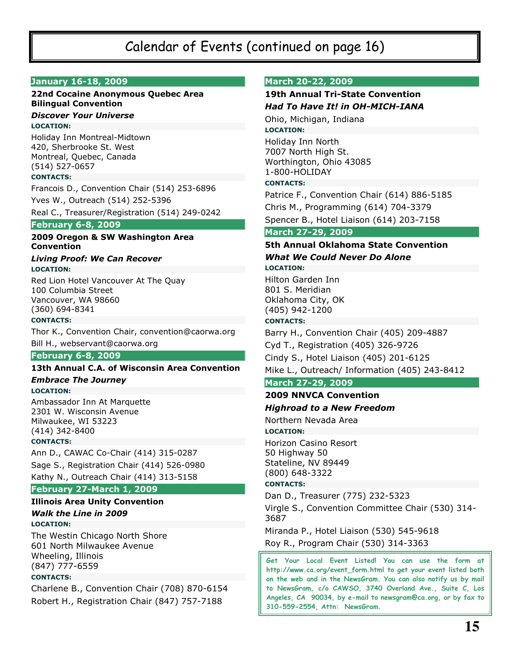### Calendar of Events (continued on page 16)

#### January 16-18, 2009

#### 22nd Cocaine Anonymous Quebec Area **Bilingual Convention**

#### **Discover Your Universe LOCATION:**

Holiday Inn Montreal-Midtown 420, Sherbrooke St. West Montreal, Quebec, Canada  $(514) 527 - 0657$ 

#### **CONTACTS:**

Francois D., Convention Chair (514) 253-6896 Yves W., Outreach (514) 252-5396

Real C., Treasurer/Registration (514) 249-0242

#### **February 6-8, 2009**

#### 2009 Oregon & SW Washington Area **Convention**

#### **Living Proof: We Can Recover LOCATION:**

Red Lion Hotel Vancouver At The Quay 100 Columbia Street Vancouver, WA 98660  $(360)$  694-8341

#### **CONTACTS:**

Thor K., Convention Chair, convention@caorwa.org

Bill H., webservant@caorwa.org

#### **February 6-8, 2009**

#### 13th Annual C.A. of Wisconsin Area Convention

#### **Embrace The Journey LOCATION:**

Ambassador Inn At Marquette 2301 W. Wisconsin Avenue Milwaukee, WI 53223  $(414)$  342-8400

#### **CONTACTS:**

Ann D., CAWAC Co-Chair (414) 315-0287 Sage S., Registration Chair (414) 526-0980 Kathy N., Outreach Chair (414) 313-5158

#### February 27-March 1, 2009

#### **Illinois Area Unity Convention**

#### **Walk the Line in 2009 LOCATION:**

The Westin Chicago North Shore 601 North Milwaukee Avenue Wheeling, Illinois  $(847)$  777-6559

#### **CONTACTS:**

Charlene B., Convention Chair (708) 870-6154 Robert H., Registration Chair (847) 757-7188

#### **March 20-22, 2009**

#### **19th Annual Tri-State Convention Had To Have It! in OH-MICH-IANA**

Ohio, Michigan, Indiana **LOCATION:** Holiday Inn North

7007 North High St. Worthington, Ohio 43085 1-800-HOLIDAY

#### **CONTACTS:**

Patrice F., Convention Chair (614) 886-5185 Chris M., Programming (614) 704-3379

Spencer B., Hotel Liaison (614) 203-7158

#### March 27-29, 2009

#### 5th Annual Oklahoma State Convention **What We Could Never Do Alone**

#### **LOCATION:**

Hilton Garden Inn 801 S. Meridian Oklahoma City, OK (405) 942-1200 **CONTACTS:** 

Barry H., Convention Chair (405) 209-4887 Cyd T., Registration (405) 326-9726 Cindy S., Hotel Liaison (405) 201-6125 Mike L., Outreach/ Information (405) 243-8412

#### March 27-29, 2009

#### **2009 NNVCA Convention**

#### **Highroad to a New Freedom**

Northern Nevada Area

#### **LOCATION:**

Horizon Casino Resort 50 Highway 50 Stateline, NV 89449  $(800)$  648-3322

#### **CONTACTS:**

Dan D., Treasurer (775) 232-5323

Virgle S., Convention Committee Chair (530) 314-3687

Miranda P., Hotel Liaison (530) 545-9618

Roy R., Program Chair (530) 314-3363

Get Your Local Event Listed! You can use the form at http://www.ca.org/event\_form.html to get your event listed both on the web and in the NewsGram. You can also notify us by mail to NewsGram, c/o CAWSO, 3740 Overland Ave., Suite C, Los Angeles, CA 90034, by e-mail to newsgram@ca.org, or by fax to 310-559-2554, Attn: NewsGram.